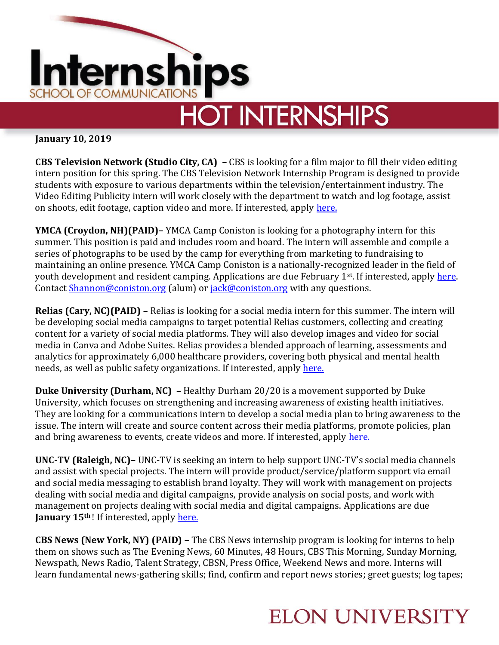

## **HOT INTERNSHIPS**

**January 10, 2019**

**CBS Television Network (Studio City, CA) –** CBS is looking for a film major to fill their video editing intern position for this spring. The CBS Television Network Internship Program is designed to provide students with exposure to various departments within the television/entertainment industry. The Video Editing Publicity intern will work closely with the department to watch and log footage, assist on shoots, edit footage, caption video and more. If interested, apply [here.](https://cbscorporation.jobs/studio-city-ca/video-editing-intern-publicity-spring-2019/018ED94F85C5489B8625BDFB3F494133/job/?utm_campaign=LinkedIn.com&utm_medium=Social%20Media&vs=1606&utm_source=LinkedIn.com-DE)

**YMCA (Croydon, NH)(PAID)–** YMCA Camp Coniston is looking for a photography intern for this summer. This position is paid and includes room and board. The intern will assemble and compile a series of photographs to be used by the camp for everything from marketing to fundraising to maintaining an online presence. YMCA Camp Coniston is a nationally-recognized leader in the field of youth development and resident camping. Applications are due February 1<sup>st</sup>. If interested, apply [here.](https://coniston.campintouch.com/ui/forms/application/staff/App) Contact [Shannon@coniston.org](mailto:Shannon@coniston.org) (alum) or [jack@coniston.org](mailto:jack@coniston.org) with any questions.

**Relias (Cary, NC)(PAID) –** Relias is looking for a social media intern for this summer. The intern will be developing social media campaigns to target potential Relias customers, collecting and creating content for a variety of social media platforms. They will also develop images and video for social media in Canva and Adobe Suites. Relias provides a blended approach of learning, assessments and analytics for approximately 6,000 healthcare providers, covering both physical and mental health needs, as well as public safety organizations. If interested, apply [here.](https://jobsearch.createyourowncareer.com/Relias_Learning/job/Cary-2019-Summer-Internship-Engineering-Intern-1-NC-27518/509786801/)

**Duke University (Durham, NC) –** Healthy Durham 20/20 is a movement supported by Duke University, which focuses on strengthening and increasing awareness of existing health initiatives. They are looking for a communications intern to develop a social media plan to bring awareness to the issue. The intern will create and source content across their media platforms, promote policies, plan and bring awareness to events, create videos and more. If interested, apply [here.](https://sjobs.brassring.com/TGnewUI/Search/home/HomeWithPreLoad?PageType=JobDetails&partnerid=25017&siteid=5172&jobId=1327369#jobDetails=1327369_5172)

**UNC-TV (Raleigh, NC)–** UNC-TV is seeking an intern to help support UNC-TV's social media channels and assist with special projects. The intern will provide product/service/platform support via email and social media messaging to establish brand loyalty. They will work with management on projects dealing with social media and digital campaigns, provide analysis on social posts, and work with management on projects dealing with social media and digital campaigns. Applications are due **January 15th** ! If interested, appl[y here.](https://uncgacareers.northcarolina.edu/postings/69767)

**CBS News (New York, NY) (PAID) –** The CBS News internship program is looking for interns to help them on shows such as The Evening News, 60 Minutes, 48 Hours, CBS This Morning, Sunday Morning, Newspath, News Radio, Talent Strategy, CBSN, Press Office, Weekend News and more. Interns will learn fundamental news-gathering skills; find, confirm and report news stories; greet guests; log tapes;

## **ELON UNIVERSITY**